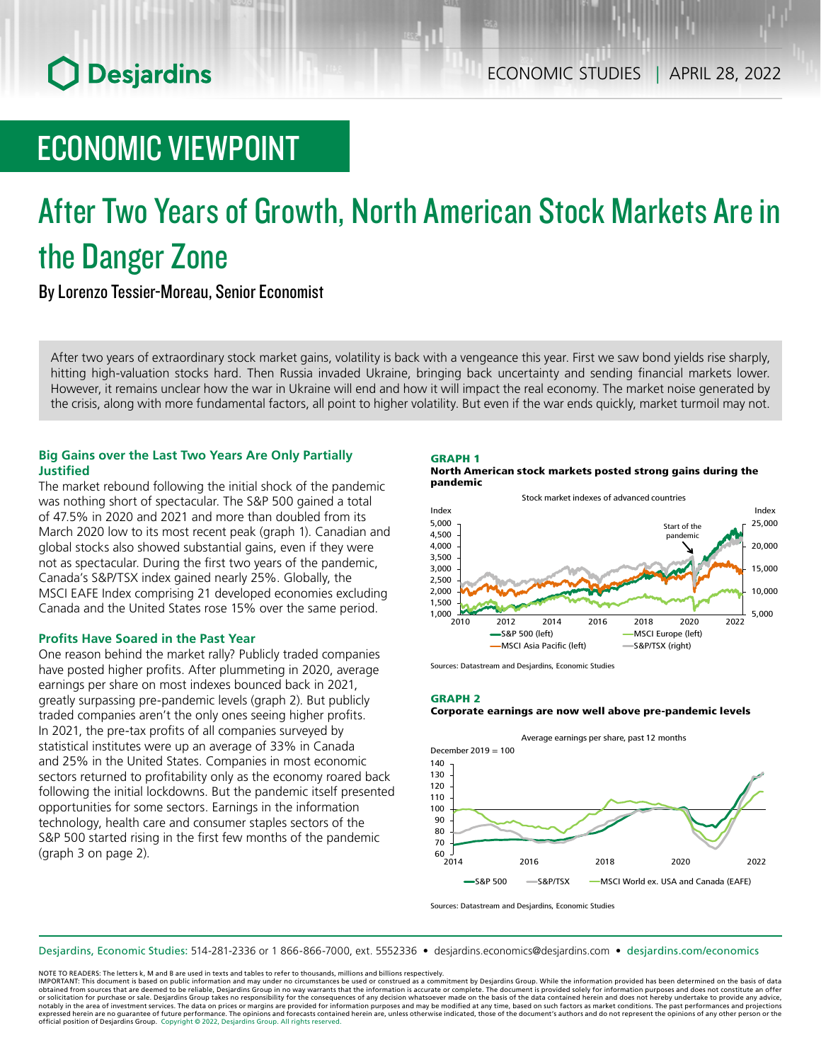# **O** Desjardins

# ECONOMIC VIEWPOINT

# After Two Years of Growth, North American Stock Markets Are in the Danger Zone

By Lorenzo Tessier-Moreau, Senior Economist

After two years of extraordinary stock market gains, volatility is back with a vengeance this year. First we saw bond yields rise sharply, hitting high-valuation stocks hard. Then Russia invaded Ukraine, bringing back uncertainty and sending financial markets lower. However, it remains unclear how the war in Ukraine will end and how it will impact the real economy. The market noise generated by the crisis, along with more fundamental factors, all point to higher volatility. But even if the war ends quickly, market turmoil may not.

# **Big Gains over the Last Two Years Are Only Partially Justified**

The market rebound following the initial shock of the pandemic was nothing short of spectacular. The S&P 500 gained a total of 47.5% in 2020 and 2021 and more than doubled from its March 2020 low to its most recent peak (graph 1). Canadian and global stocks also showed substantial gains, even if they were not as spectacular. During the first two years of the pandemic, Canada's S&P/TSX index gained nearly 25%. Globally, the MSCI EAFE Index comprising 21 developed economies excluding Canada and the United States rose 15% over the same period.

### **Profits Have Soared in the Past Year**

One reason behind the market rally? Publicly traded companies have posted higher profits. After plummeting in 2020, average earnings per share on most indexes bounced back in 2021, greatly surpassing pre-pandemic levels (graph 2). But publicly traded companies aren't the only ones seeing higher profits. In 2021, the pre-tax profits of all companies surveyed by statistical institutes were up an average of 33% in Canada and 25% in the United States. Companies in most economic sectors returned to profitability only as the economy roared back following the initial lockdowns. But the pandemic itself presented opportunities for some sectors. Earnings in the information technology, health care and consumer staples sectors of the S&P 500 started rising in the first few months of the pandemic (graph 3 on page 2).





Sources: Datastream and Desjardins, Economic Studies

GRAPH 2





Sources: Datastream and Desjardins, Economic Studies

Desjardins, Economic Studies: 514‑281‑2336 or 1 866‑866‑7000, ext. 5552336 • desjardins.economics@desjardins.com • [desjardins.com/economics](http://desjardins.com/economics)

NOTE TO READERS: The letters k, M and B are used in texts and tables to refer to thousands, millions and billions respectively.

IMPORTANT: This document is based on public information and may under no circumstances be used or construed as a commitment by Desjardins Group. While the information provided has been determined on the basis of data obtained from sources that are deemed to be reliable, Desjardins Group in no way warrants that the information is accurate or complete. The document is provided solely for information purposes and does not constitute an of notably in the area of investment services. The data on prices or margins are provided for information purposes and may be modified at any time, based on such factors as market conditions. The past performances and project expressed herein are no guarantee of future performance. The opinions and forecasts contained herein are, unless otherwise indicated, those of the document's authors and do not represent the opinions of any other person or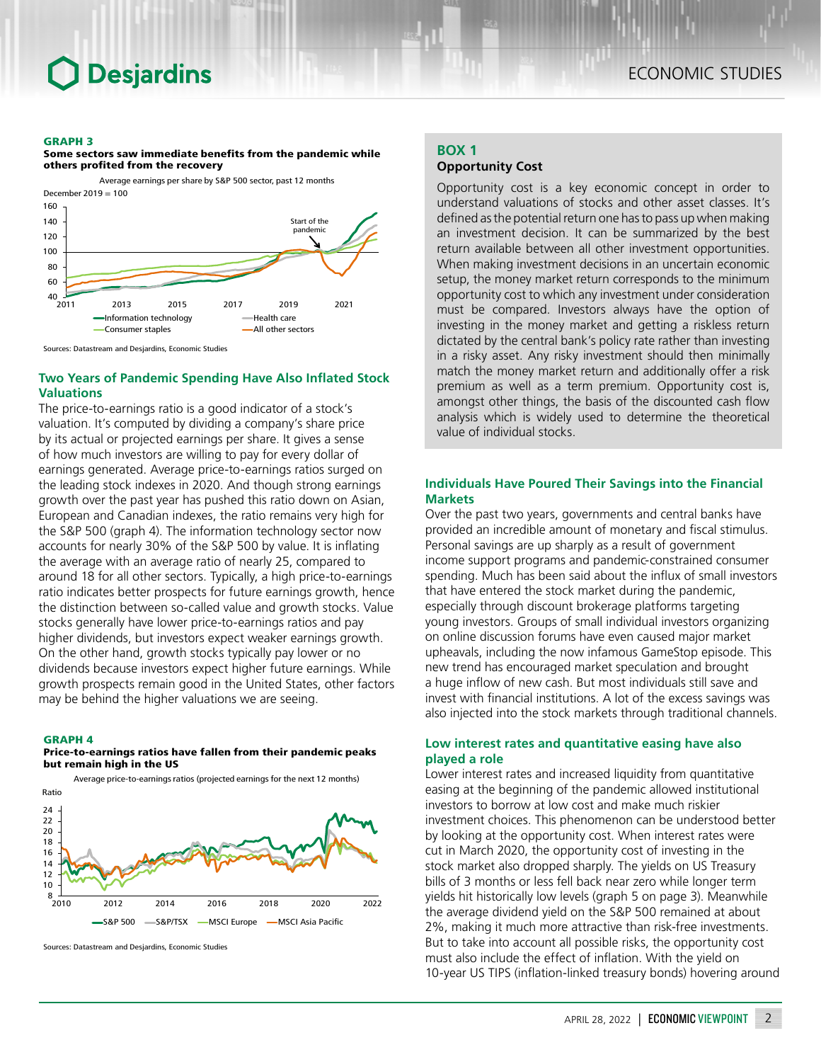# Desjardins

#### GRAPH 3





Sources: Datastream and Desjardins, Economic Studies

# **Two Years of Pandemic Spending Have Also Inflated Stock Valuations**

The price-to-earnings ratio is a good indicator of a stock's valuation. It's computed by dividing a company's share price by its actual or projected earnings per share. It gives a sense of how much investors are willing to pay for every dollar of earnings generated. Average price-to-earnings ratios surged on the leading stock indexes in 2020. And though strong earnings growth over the past year has pushed this ratio down on Asian, European and Canadian indexes, the ratio remains very high for the S&P 500 (graph 4). The information technology sector now accounts for nearly 30% of the S&P 500 by value. It is inflating the average with an average ratio of nearly 25, compared to around 18 for all other sectors. Typically, a high price-to-earnings ratio indicates better prospects for future earnings growth, hence the distinction between so-called value and growth stocks. Value stocks generally have lower price-to-earnings ratios and pay higher dividends, but investors expect weaker earnings growth. On the other hand, growth stocks typically pay lower or no dividends because investors expect higher future earnings. While growth prospects remain good in the United States, other factors may be behind the higher valuations we are seeing.

#### GRAPH 4

#### Price-to-earnings ratios have fallen from their pandemic peaks but remain high in the US



Sources: Datastream and Desjardins, Economic Studies

# **BOX 1**

# **Opportunity Cost**

Opportunity cost is a key economic concept in order to understand valuations of stocks and other asset classes. It's defined as the potential return one has to pass up when making an investment decision. It can be summarized by the best return available between all other investment opportunities. When making investment decisions in an uncertain economic setup, the money market return corresponds to the minimum opportunity cost to which any investment under consideration must be compared. Investors always have the option of investing in the money market and getting a riskless return dictated by the central bank's policy rate rather than investing in a risky asset. Any risky investment should then minimally match the money market return and additionally offer a risk premium as well as a term premium. Opportunity cost is, amongst other things, the basis of the discounted cash flow analysis which is widely used to determine the theoretical value of individual stocks.

# **Individuals Have Poured Their Savings into the Financial Markets**

Over the past two years, governments and central banks have provided an incredible amount of monetary and fiscal stimulus. Personal savings are up sharply as a result of government income support programs and pandemic-constrained consumer spending. Much has been said about the influx of small investors that have entered the stock market during the pandemic, especially through discount brokerage platforms targeting young investors. Groups of small individual investors organizing on online discussion forums have even caused major market upheavals, including the now infamous GameStop episode. This new trend has encouraged market speculation and brought a huge inflow of new cash. But most individuals still save and invest with financial institutions. A lot of the excess savings was also injected into the stock markets through traditional channels.

# **Low interest rates and quantitative easing have also played a role**

Lower interest rates and increased liquidity from quantitative easing at the beginning of the pandemic allowed institutional investors to borrow at low cost and make much riskier investment choices. This phenomenon can be understood better by looking at the opportunity cost. When interest rates were cut in March 2020, the opportunity cost of investing in the stock market also dropped sharply. The yields on US Treasury bills of 3 months or less fell back near zero while longer term yields hit historically low levels (graph 5 on page 3). Meanwhile the average dividend yield on the S&P 500 remained at about 2%, making it much more attractive than risk-free investments. But to take into account all possible risks, the opportunity cost must also include the effect of inflation. With the yield on 10-year US TIPS (inflation-linked treasury bonds) hovering around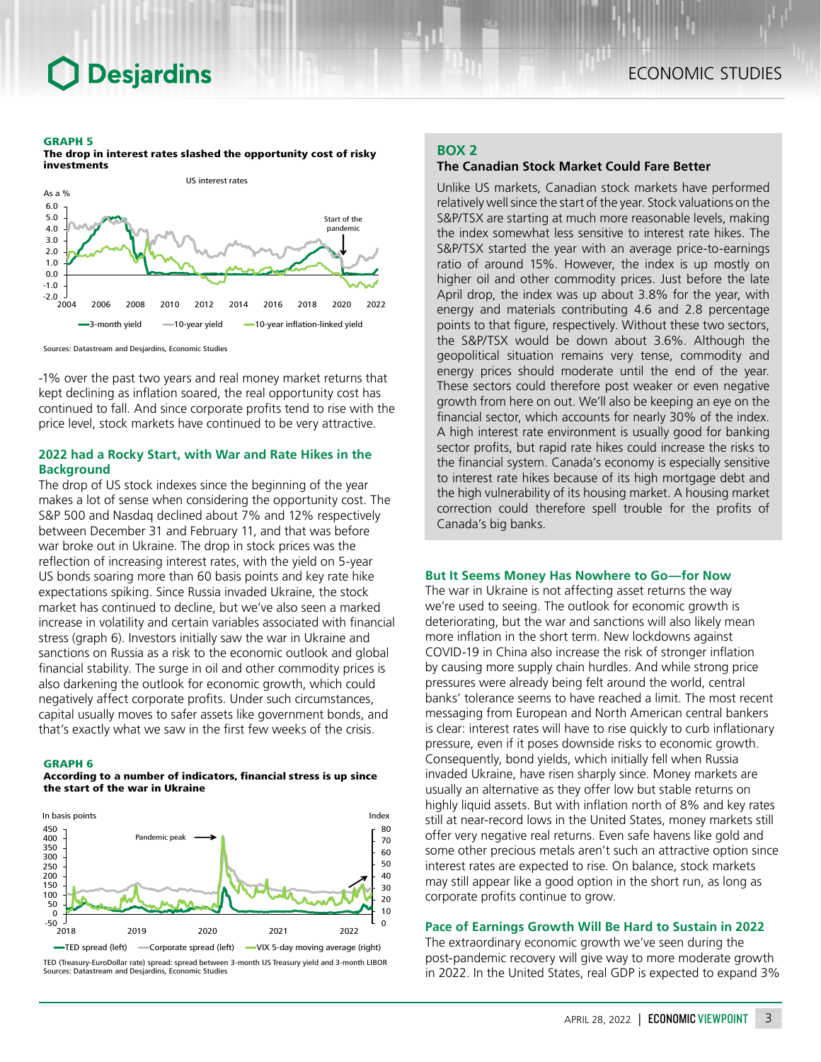# **Desjardins**

#### GRAPH 5



The drop in interest rates slashed the opportunity cost of risky investments



-1% over the past two years and real money market returns that kept declining as inflation soared, the real opportunity cost has continued to fall. And since corporate profits tend to rise with the price level, stock markets have continued to be very attractive.

# **2022 had a Rocky Start, with War and Rate Hikes in the Background**

The drop of US stock indexes since the beginning of the year makes a lot of sense when considering the opportunity cost. The S&P 500 and Nasdaq declined about 7% and 12% respectively between December 31 and February 11, and that was before war broke out in Ukraine. The drop in stock prices was the reflection of increasing interest rates, with the yield on 5-year US bonds soaring more than 60 basis points and key rate hike expectations spiking. Since Russia invaded Ukraine, the stock market has continued to decline, but we've also seen a marked increase in volatility and certain variables associated with financial stress (graph 6). Investors initially saw the war in Ukraine and sanctions on Russia as a risk to the economic outlook and global financial stability. The surge in oil and other commodity prices is also darkening the outlook for economic growth, which could negatively affect corporate profits. Under such circumstances, capital usually moves to safer assets like government bonds, and that's exactly what we saw in the first few weeks of the crisis.

#### GRAPH 6





TED (Treasury-EuroDollar rate) spread: spread between 3-month US Treasury yield and 3-month LIBOR Sources: Datastream and Desjardins, Economic Studies

### **BOX 2**

### **The Canadian Stock Market Could Fare Better**

Unlike US markets, Canadian stock markets have performed relatively well since the start of the year. Stock valuations on the S&P/TSX are starting at much more reasonable levels, making the index somewhat less sensitive to interest rate hikes. The S&P/TSX started the year with an average price-to-earnings ratio of around 15%. However, the index is up mostly on higher oil and other commodity prices. Just before the late April drop, the index was up about 3.8% for the year, with energy and materials contributing 4.6 and 2.8 percentage points to that figure, respectively. Without these two sectors, the S&P/TSX would be down about 3.6%. Although the geopolitical situation remains very tense, commodity and energy prices should moderate until the end of the year. These sectors could therefore post weaker or even negative growth from here on out. We'll also be keeping an eye on the financial sector, which accounts for nearly 30% of the index. A high interest rate environment is usually good for banking sector profits, but rapid rate hikes could increase the risks to the financial system. Canada's economy is especially sensitive to interest rate hikes because of its high mortgage debt and the high vulnerability of its housing market. A housing market correction could therefore spell trouble for the profits of Canada's big banks.

### **But It Seems Money Has Nowhere to Go—for Now**

The war in Ukraine is not affecting asset returns the way we're used to seeing. The outlook for economic growth is deteriorating, but the war and sanctions will also likely mean more inflation in the short term. New lockdowns against COVID‑19 in China also increase the risk of stronger inflation by causing more supply chain hurdles. And while strong price pressures were already being felt around the world, central banks' tolerance seems to have reached a limit. The most recent messaging from European and North American central bankers is clear: interest rates will have to rise quickly to curb inflationary pressure, even if it poses downside risks to economic growth. Consequently, bond yields, which initially fell when Russia invaded Ukraine, have risen sharply since. Money markets are usually an alternative as they offer low but stable returns on highly liquid assets. But with inflation north of 8% and key rates still at near-record lows in the United States, money markets still offer very negative real returns. Even safe havens like gold and some other precious metals aren't such an attractive option since interest rates are expected to rise. On balance, stock markets may still appear like a good option in the short run, as long as corporate profits continue to grow.

### **Pace of Earnings Growth Will Be Hard to Sustain in 2022**

The extraordinary economic growth we've seen during the post-pandemic recovery will give way to more moderate growth in 2022. In the United States, real GDP is expected to expand 3%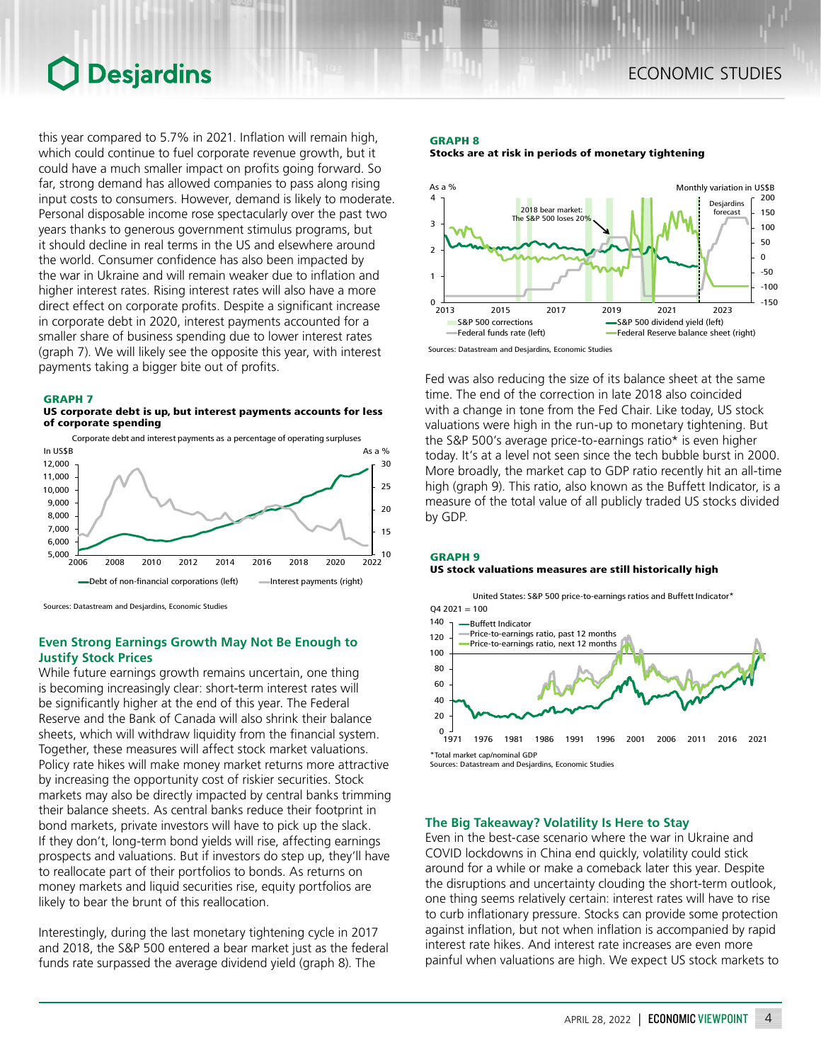# **O** Desjardins

this year compared to 5.7% in 2021. Inflation will remain high, which could continue to fuel corporate revenue growth, but it could have a much smaller impact on profits going forward. So far, strong demand has allowed companies to pass along rising input costs to consumers. However, demand is likely to moderate. Personal disposable income rose spectacularly over the past two years thanks to generous government stimulus programs, but it should decline in real terms in the US and elsewhere around the world. Consumer confidence has also been impacted by the war in Ukraine and will remain weaker due to inflation and higher interest rates. Rising interest rates will also have a more direct effect on corporate profits. Despite a significant increase in corporate debt in 2020, interest payments accounted for a smaller share of business spending due to lower interest rates (graph 7). We will likely see the opposite this year, with interest payments taking a bigger bite out of profits.

#### GRAPH 7





Sources: Datastream and Desjardins, Economic Studies

# **Even Strong Earnings Growth May Not Be Enough to Justify Stock Prices**

While future earnings growth remains uncertain, one thing is becoming increasingly clear: short-term interest rates will be significantly higher at the end of this year. The Federal Reserve and the Bank of Canada will also shrink their balance sheets, which will withdraw liquidity from the financial system. Together, these measures will affect stock market valuations. Policy rate hikes will make money market returns more attractive by increasing the opportunity cost of riskier securities. Stock markets may also be directly impacted by central banks trimming their balance sheets. As central banks reduce their footprint in bond markets, private investors will have to pick up the slack. If they don't, long-term bond yields will rise, affecting earnings prospects and valuations. But if investors do step up, they'll have to reallocate part of their portfolios to bonds. As returns on money markets and liquid securities rise, equity portfolios are likely to bear the brunt of this reallocation.

Interestingly, during the last monetary tightening cycle in 2017 and 2018, the S&P 500 entered a bear market just as the federal funds rate surpassed the average dividend yield (graph 8). The

#### GRAPH 8 Stocks are at risk in periods of monetary tightening



Fed was also reducing the size of its balance sheet at the same time. The end of the correction in late 2018 also coincided with a change in tone from the Fed Chair. Like today, US stock valuations were high in the run-up to monetary tightening. But the S&P 500's average price-to-earnings ratio\* is even higher today. It's at a level not seen since the tech bubble burst in 2000. More broadly, the market cap to GDP ratio recently hit an all-time high (graph 9). This ratio, also known as the Buffett Indicator, is a measure of the total value of all publicly traded US stocks divided by GDP.

#### GRAPH 9 US stock valuations measures are still historically high



# **The Big Takeaway? Volatility Is Here to Stay**

Even in the best-case scenario where the war in Ukraine and COVID lockdowns in China end quickly, volatility could stick around for a while or make a comeback later this year. Despite the disruptions and uncertainty clouding the short-term outlook, one thing seems relatively certain: interest rates will have to rise to curb inflationary pressure. Stocks can provide some protection against inflation, but not when inflation is accompanied by rapid interest rate hikes. And interest rate increases are even more painful when valuations are high. We expect US stock markets to